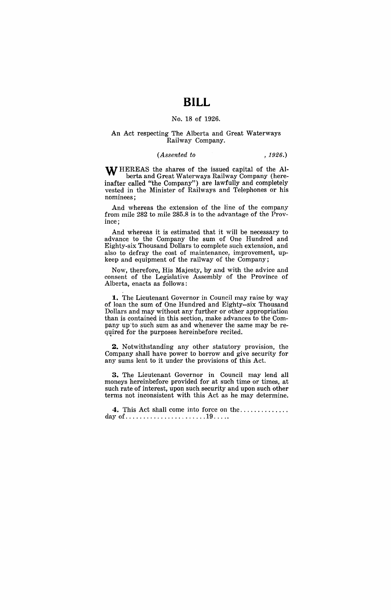# **BILL**

### No. 18 of 1926.

#### An Act respecting The Alberta and Great Waterways Railway Company.

## *(Assented to* , 1926.)

WHEREAS the shares of the issued capital of the Alberta and Great Waterways Railway Company (hereinafter called "the Company") are lawfully and completely vested in the Minister of Railways and Telephones or his nominees;

And whereas the extension of the line of the company from mile 282 to mile 285.8 is to the advantage of the Province;

And whereas it is estimated that it will be necessary to advance to the Company the sum of One Hundred and Eighty-six Thousand Dollars to complete such extension, and also to defray the cost of maintenance, improvement, upkeep and equipment of the railway of the Company;

Now, therefore, His Majesty, by and with the advice and consent of the Legislative Assembly of the Province of Alberta, enacts as follows:

**1.** The Lieutenant Governor in Council may raise by way of loan the sum of One Hundred and Eighty--six Thousand Dollars and may without any further or other appropriation than is contained in this section, make advances to the Company up'to such sum as and whenever the same may be required for the purposes hereinbefore recited.

**2.** Notwithstanding any other statutory provision, the Company shall have power to borrow and give security for any sums lent to it under the provisions of this Act.

**3.** The Lieutenant Governor in Council may lend all moneys hereinbefore provided for at such time or times, at such rate of interest, upon such security and upon such other terms not inconsistent with this Act as he may determine.

**4.** This Act shall come into force on the ............. . day of ....................... 19 .... .